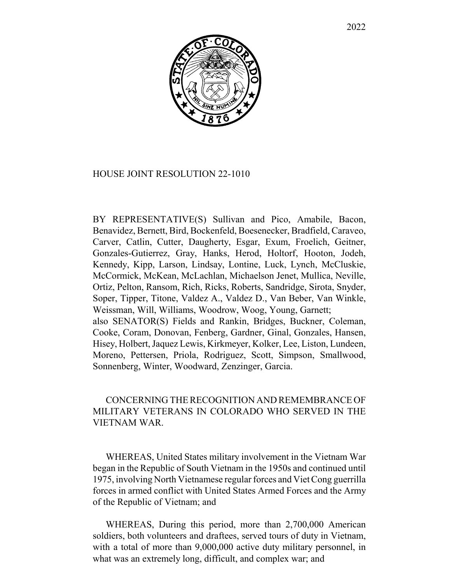

## HOUSE JOINT RESOLUTION 22-1010

BY REPRESENTATIVE(S) Sullivan and Pico, Amabile, Bacon, Benavidez, Bernett, Bird, Bockenfeld, Boesenecker, Bradfield, Caraveo, Carver, Catlin, Cutter, Daugherty, Esgar, Exum, Froelich, Geitner, Gonzales-Gutierrez, Gray, Hanks, Herod, Holtorf, Hooton, Jodeh, Kennedy, Kipp, Larson, Lindsay, Lontine, Luck, Lynch, McCluskie, McCormick, McKean, McLachlan, Michaelson Jenet, Mullica, Neville, Ortiz, Pelton, Ransom, Rich, Ricks, Roberts, Sandridge, Sirota, Snyder, Soper, Tipper, Titone, Valdez A., Valdez D., Van Beber, Van Winkle, Weissman, Will, Williams, Woodrow, Woog, Young, Garnett; also SENATOR(S) Fields and Rankin, Bridges, Buckner, Coleman, Cooke, Coram, Donovan, Fenberg, Gardner, Ginal, Gonzales, Hansen, Hisey, Holbert, Jaquez Lewis, Kirkmeyer, Kolker, Lee, Liston, Lundeen, Moreno, Pettersen, Priola, Rodriguez, Scott, Simpson, Smallwood, Sonnenberg, Winter, Woodward, Zenzinger, Garcia.

## CONCERNING THE RECOGNITION AND REMEMBRANCE OF MILITARY VETERANS IN COLORADO WHO SERVED IN THE VIETNAM WAR.

WHEREAS, United States military involvement in the Vietnam War began in the Republic of South Vietnam in the 1950s and continued until 1975, involving North Vietnamese regular forces and Viet Cong guerrilla forces in armed conflict with United States Armed Forces and the Army of the Republic of Vietnam; and

WHEREAS, During this period, more than 2,700,000 American soldiers, both volunteers and draftees, served tours of duty in Vietnam, with a total of more than 9,000,000 active duty military personnel, in what was an extremely long, difficult, and complex war; and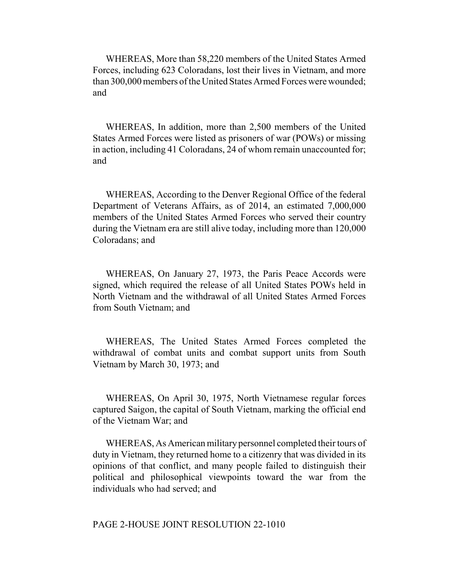WHEREAS, More than 58,220 members of the United States Armed Forces, including 623 Coloradans, lost their lives in Vietnam, and more than 300,000 members of the United States Armed Forces were wounded; and

WHEREAS, In addition, more than 2,500 members of the United States Armed Forces were listed as prisoners of war (POWs) or missing in action, including 41 Coloradans, 24 of whom remain unaccounted for; and

WHEREAS, According to the Denver Regional Office of the federal Department of Veterans Affairs, as of 2014, an estimated 7,000,000 members of the United States Armed Forces who served their country during the Vietnam era are still alive today, including more than 120,000 Coloradans; and

WHEREAS, On January 27, 1973, the Paris Peace Accords were signed, which required the release of all United States POWs held in North Vietnam and the withdrawal of all United States Armed Forces from South Vietnam; and

WHEREAS, The United States Armed Forces completed the withdrawal of combat units and combat support units from South Vietnam by March 30, 1973; and

WHEREAS, On April 30, 1975, North Vietnamese regular forces captured Saigon, the capital of South Vietnam, marking the official end of the Vietnam War; and

WHEREAS, As American military personnel completed their tours of duty in Vietnam, they returned home to a citizenry that was divided in its opinions of that conflict, and many people failed to distinguish their political and philosophical viewpoints toward the war from the individuals who had served; and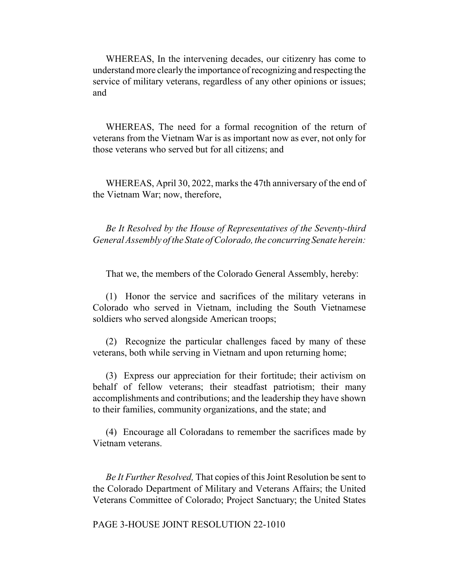WHEREAS, In the intervening decades, our citizenry has come to understand more clearly the importance of recognizing and respecting the service of military veterans, regardless of any other opinions or issues; and

WHEREAS, The need for a formal recognition of the return of veterans from the Vietnam War is as important now as ever, not only for those veterans who served but for all citizens; and

WHEREAS, April 30, 2022, marks the 47th anniversary of the end of the Vietnam War; now, therefore,

*Be It Resolved by the House of Representatives of the Seventy-third General Assembly of the State of Colorado, the concurring Senate herein:*

That we, the members of the Colorado General Assembly, hereby:

(1) Honor the service and sacrifices of the military veterans in Colorado who served in Vietnam, including the South Vietnamese soldiers who served alongside American troops;

(2) Recognize the particular challenges faced by many of these veterans, both while serving in Vietnam and upon returning home;

(3) Express our appreciation for their fortitude; their activism on behalf of fellow veterans; their steadfast patriotism; their many accomplishments and contributions; and the leadership they have shown to their families, community organizations, and the state; and

(4) Encourage all Coloradans to remember the sacrifices made by Vietnam veterans.

*Be It Further Resolved,* That copies of this Joint Resolution be sent to the Colorado Department of Military and Veterans Affairs; the United Veterans Committee of Colorado; Project Sanctuary; the United States

PAGE 3-HOUSE JOINT RESOLUTION 22-1010